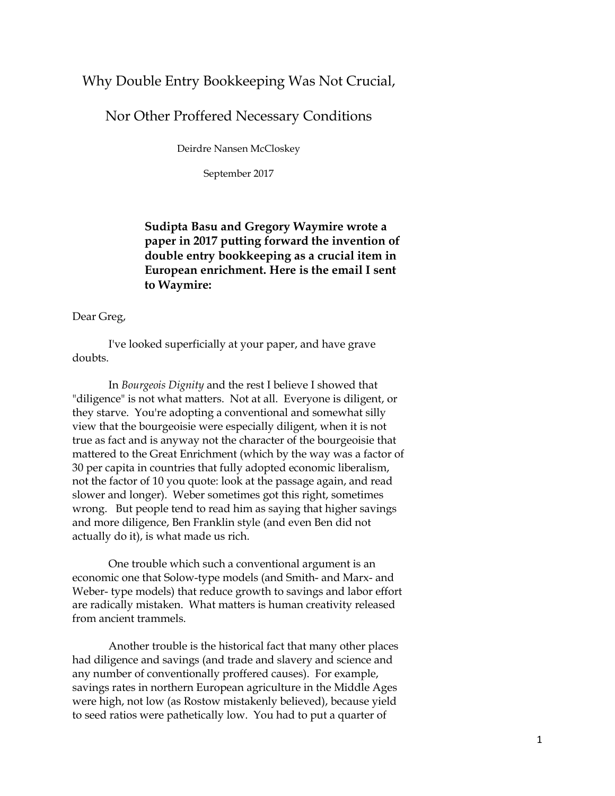## Why Double Entry Bookkeeping Was Not Crucial,

Nor Other Proffered Necessary Conditions

Deirdre Nansen McCloskey

September 2017

## **Sudipta Basu and Gregory Waymire wrote a paper in 2017 putting forward the invention of double entry bookkeeping as a crucial item in European enrichment. Here is the email I sent to Waymire:**

Dear Greg,

I've looked superficially at your paper, and have grave doubts.

In *Bourgeois Dignity* and the rest I believe I showed that "diligence" is not what matters. Not at all. Everyone is diligent, or they starve. You're adopting a conventional and somewhat silly view that the bourgeoisie were especially diligent, when it is not true as fact and is anyway not the character of the bourgeoisie that mattered to the Great Enrichment (which by the way was a factor of 30 per capita in countries that fully adopted economic liberalism, not the factor of 10 you quote: look at the passage again, and read slower and longer). Weber sometimes got this right, sometimes wrong. But people tend to read him as saying that higher savings and more diligence, Ben Franklin style (and even Ben did not actually do it), is what made us rich.

One trouble which such a conventional argument is an economic one that Solow-type models (and Smith- and Marx- and Weber- type models) that reduce growth to savings and labor effort are radically mistaken. What matters is human creativity released from ancient trammels.

Another trouble is the historical fact that many other places had diligence and savings (and trade and slavery and science and any number of conventionally proffered causes). For example, savings rates in northern European agriculture in the Middle Ages were high, not low (as Rostow mistakenly believed), because yield to seed ratios were pathetically low. You had to put a quarter of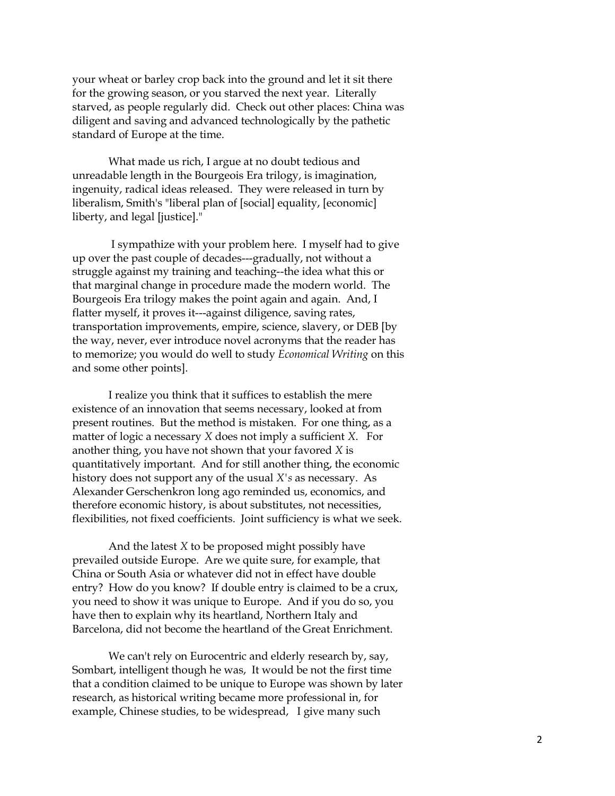your wheat or barley crop back into the ground and let it sit there for the growing season, or you starved the next year. Literally starved, as people regularly did. Check out other places: China was diligent and saving and advanced technologically by the pathetic standard of Europe at the time.

What made us rich, I argue at no doubt tedious and unreadable length in the Bourgeois Era trilogy, is imagination, ingenuity, radical ideas released. They were released in turn by liberalism, Smith's "liberal plan of [social] equality, [economic] liberty, and legal [justice]."

I sympathize with your problem here. I myself had to give up over the past couple of decades---gradually, not without a struggle against my training and teaching--the idea what this or that marginal change in procedure made the modern world. The Bourgeois Era trilogy makes the point again and again. And, I flatter myself, it proves it---against diligence, saving rates, transportation improvements, empire, science, slavery, or DEB [by the way, never, ever introduce novel acronyms that the reader has to memorize; you would do well to study *Economical Writing* on this and some other points].

I realize you think that it suffices to establish the mere existence of an innovation that seems necessary, looked at from present routines. But the method is mistaken. For one thing, as a matter of logic a necessary *X* does not imply a sufficient *X*. For another thing, you have not shown that your favored *X* is quantitatively important. And for still another thing, the economic history does not support any of the usual *X's* as necessary. As Alexander Gerschenkron long ago reminded us, economics, and therefore economic history, is about substitutes, not necessities, flexibilities, not fixed coefficients. Joint sufficiency is what we seek.

And the latest *X* to be proposed might possibly have prevailed outside Europe. Are we quite sure, for example, that China or South Asia or whatever did not in effect have double entry? How do you know? If double entry is claimed to be a crux, you need to show it was unique to Europe. And if you do so, you have then to explain why its heartland, Northern Italy and Barcelona, did not become the heartland of the Great Enrichment.

We can't rely on Eurocentric and elderly research by, say, Sombart, intelligent though he was, It would be not the first time that a condition claimed to be unique to Europe was shown by later research, as historical writing became more professional in, for example, Chinese studies, to be widespread, I give many such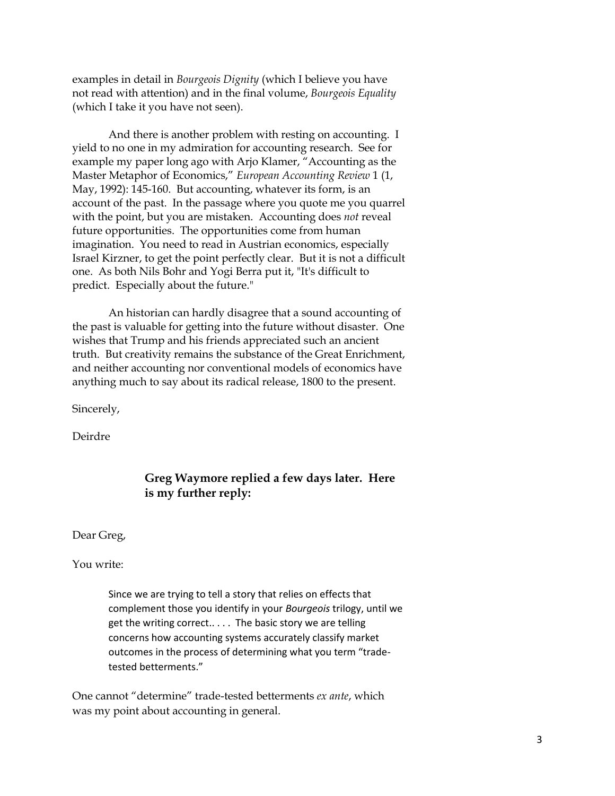examples in detail in *Bourgeois Dignity* (which I believe you have not read with attention) and in the final volume, *Bourgeois Equality*  (which I take it you have not seen).

And there is another problem with resting on accounting. I yield to no one in my admiration for accounting research. See for example my paper long ago with Arjo Klamer, "Accounting as the Master Metaphor of Economics," *European Accounting Review* 1 (1, May, 1992): 145-160. But accounting, whatever its form, is an account of the past. In the passage where you quote me you quarrel with the point, but you are mistaken. Accounting does *not* reveal future opportunities. The opportunities come from human imagination. You need to read in Austrian economics, especially Israel Kirzner, to get the point perfectly clear. But it is not a difficult one. As both Nils Bohr and Yogi Berra put it, "It's difficult to predict. Especially about the future."

An historian can hardly disagree that a sound accounting of the past is valuable for getting into the future without disaster. One wishes that Trump and his friends appreciated such an ancient truth. But creativity remains the substance of the Great Enrichment, and neither accounting nor conventional models of economics have anything much to say about its radical release, 1800 to the present.

Sincerely,

Deirdre

## **Greg Waymore replied a few days later. Here is my further reply:**

Dear Greg,

You write:

Since we are trying to tell a story that relies on effects that complement those you identify in your *Bourgeois* trilogy, until we get the writing correct.. . . . The basic story we are telling concerns how accounting systems accurately classify market outcomes in the process of determining what you term "tradetested betterments."

One cannot "determine" trade-tested betterments *ex ante*, which was my point about accounting in general.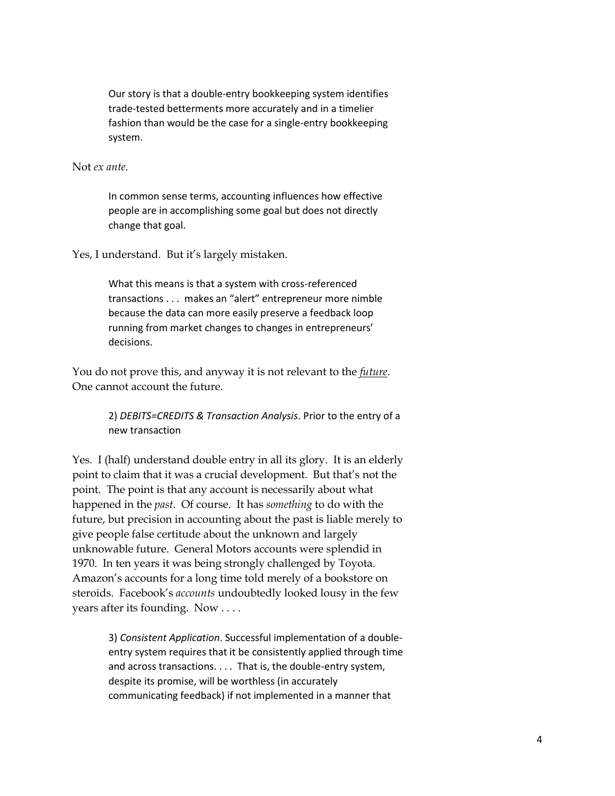Our story is that a double-entry bookkeeping system identifies trade-tested betterments more accurately and in a timelier fashion than would be the case for a single-entry bookkeeping system.

## Not *ex ante.*

In common sense terms, accounting influences how effective people are in accomplishing some goal but does not directly change that goal.

Yes, I understand. But it's largely mistaken.

What this means is that a system with cross-referenced transactions . . . makes an "alert" entrepreneur more nimble because the data can more easily preserve a feedback loop running from market changes to changes in entrepreneurs' decisions.

You do not prove this, and anyway it is not relevant to the *future*. One cannot account the future.

> 2) *DEBITS=CREDITS & Transaction Analysis*. Prior to the entry of a new transaction

Yes. I (half) understand double entry in all its glory. It is an elderly point to claim that it was a crucial development. But that's not the point. The point is that any account is necessarily about what happened in the *past*. Of course. It has *something* to do with the future, but precision in accounting about the past is liable merely to give people false certitude about the unknown and largely unknowable future. General Motors accounts were splendid in 1970. In ten years it was being strongly challenged by Toyota. Amazon's accounts for a long time told merely of a bookstore on steroids. Facebook's *accounts* undoubtedly looked lousy in the few years after its founding. Now . . . .

> 3) *Consistent Application*. Successful implementation of a doubleentry system requires that it be consistently applied through time and across transactions. . . . That is, the double-entry system, despite its promise, will be worthless (in accurately communicating feedback) if not implemented in a manner that